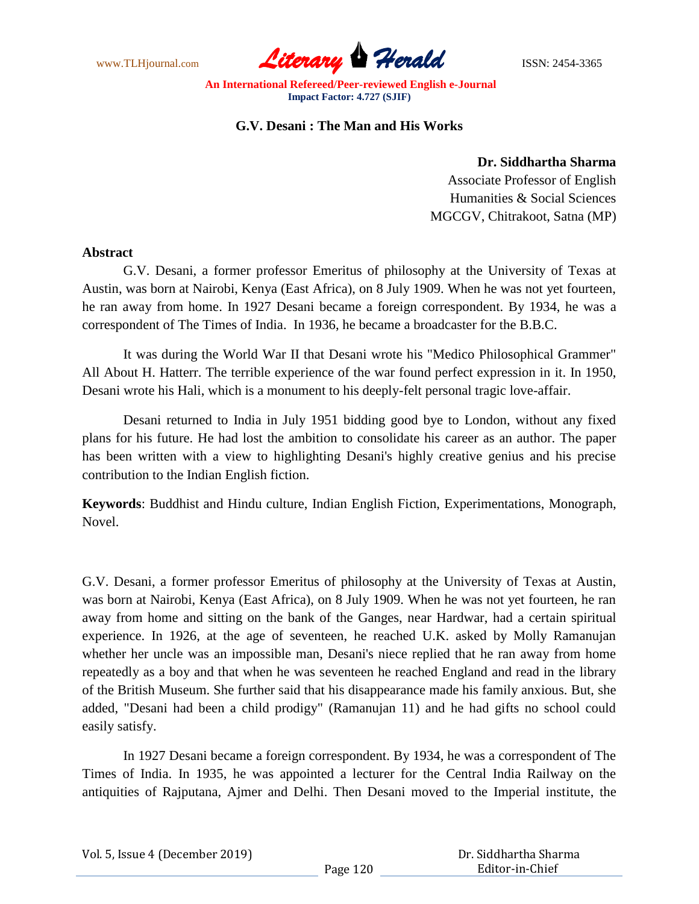

## **G.V. Desani : The Man and His Works**

**Dr. Siddhartha Sharma**

Associate Professor of English Humanities & Social Sciences MGCGV, Chitrakoot, Satna (MP)

## **Abstract**

G.V. Desani, a former professor Emeritus of philosophy at the University of Texas at Austin, was born at Nairobi, Kenya (East Africa), on 8 July 1909. When he was not yet fourteen, he ran away from home. In 1927 Desani became a foreign correspondent. By 1934, he was a correspondent of The Times of India. In 1936, he became a broadcaster for the B.B.C.

It was during the World War II that Desani wrote his "Medico Philosophical Grammer" All About H. Hatterr. The terrible experience of the war found perfect expression in it. In 1950, Desani wrote his Hali, which is a monument to his deeply-felt personal tragic love-affair.

Desani returned to India in July 1951 bidding good bye to London, without any fixed plans for his future. He had lost the ambition to consolidate his career as an author. The paper has been written with a view to highlighting Desani's highly creative genius and his precise contribution to the Indian English fiction.

**Keywords**: Buddhist and Hindu culture, Indian English Fiction, Experimentations, Monograph, Novel.

G.V. Desani, a former professor Emeritus of philosophy at the University of Texas at Austin, was born at Nairobi, Kenya (East Africa), on 8 July 1909. When he was not yet fourteen, he ran away from home and sitting on the bank of the Ganges, near Hardwar, had a certain spiritual experience. In 1926, at the age of seventeen, he reached U.K. asked by Molly Ramanujan whether her uncle was an impossible man, Desani's niece replied that he ran away from home repeatedly as a boy and that when he was seventeen he reached England and read in the library of the British Museum. She further said that his disappearance made his family anxious. But, she added, "Desani had been a child prodigy" (Ramanujan 11) and he had gifts no school could easily satisfy.

In 1927 Desani became a foreign correspondent. By 1934, he was a correspondent of The Times of India. In 1935, he was appointed a lecturer for the Central India Railway on the antiquities of Rajputana, Ajmer and Delhi. Then Desani moved to the Imperial institute, the

|  | Vol. 5, Issue 4 (December 2019) |
|--|---------------------------------|
|--|---------------------------------|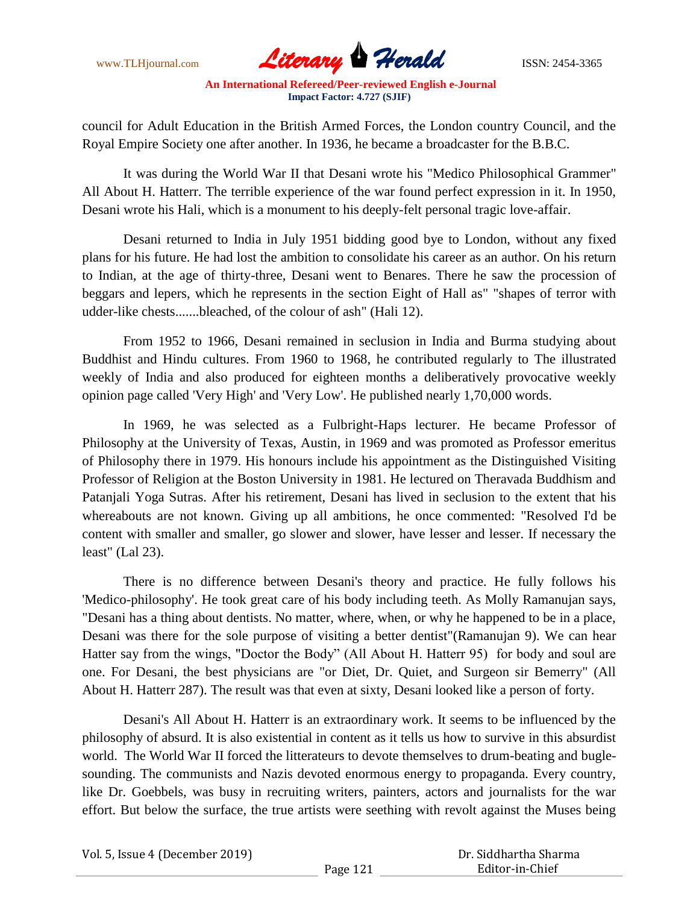

council for Adult Education in the British Armed Forces, the London country Council, and the Royal Empire Society one after another. In 1936, he became a broadcaster for the B.B.C.

It was during the World War II that Desani wrote his "Medico Philosophical Grammer" All About H. Hatterr. The terrible experience of the war found perfect expression in it. In 1950, Desani wrote his Hali, which is a monument to his deeply-felt personal tragic love-affair.

Desani returned to India in July 1951 bidding good bye to London, without any fixed plans for his future. He had lost the ambition to consolidate his career as an author. On his return to Indian, at the age of thirty-three, Desani went to Benares. There he saw the procession of beggars and lepers, which he represents in the section Eight of Hall as" "shapes of terror with udder-like chests.......bleached, of the colour of ash" (Hali 12).

From 1952 to 1966, Desani remained in seclusion in India and Burma studying about Buddhist and Hindu cultures. From 1960 to 1968, he contributed regularly to The illustrated weekly of India and also produced for eighteen months a deliberatively provocative weekly opinion page called 'Very High' and 'Very Low'. He published nearly 1,70,000 words.

In 1969, he was selected as a Fulbright-Haps lecturer. He became Professor of Philosophy at the University of Texas, Austin, in 1969 and was promoted as Professor emeritus of Philosophy there in 1979. His honours include his appointment as the Distinguished Visiting Professor of Religion at the Boston University in 1981. He lectured on Theravada Buddhism and Patanjali Yoga Sutras. After his retirement, Desani has lived in seclusion to the extent that his whereabouts are not known. Giving up all ambitions, he once commented: "Resolved I'd be content with smaller and smaller, go slower and slower, have lesser and lesser. If necessary the least" (Lal 23).

There is no difference between Desani's theory and practice. He fully follows his 'Medico-philosophy'. He took great care of his body including teeth. As Molly Ramanujan says, "Desani has a thing about dentists. No matter, where, when, or why he happened to be in a place, Desani was there for the sole purpose of visiting a better dentist"(Ramanujan 9). We can hear Hatter say from the wings, "Doctor the Body" (All About H. Hatterr 95) for body and soul are one. For Desani, the best physicians are "or Diet, Dr. Quiet, and Surgeon sir Bemerry" (All About H. Hatterr 287). The result was that even at sixty, Desani looked like a person of forty.

Desani's All About H. Hatterr is an extraordinary work. It seems to be influenced by the philosophy of absurd. It is also existential in content as it tells us how to survive in this absurdist world. The World War II forced the litterateurs to devote themselves to drum-beating and buglesounding. The communists and Nazis devoted enormous energy to propaganda. Every country, like Dr. Goebbels, was busy in recruiting writers, painters, actors and journalists for the war effort. But below the surface, the true artists were seething with revolt against the Muses being

| Vol. 5, Issue 4 (December 2019) | Dr. Siddhartha Sharma |                 |
|---------------------------------|-----------------------|-----------------|
|                                 | Page 121              | Editor-in-Chief |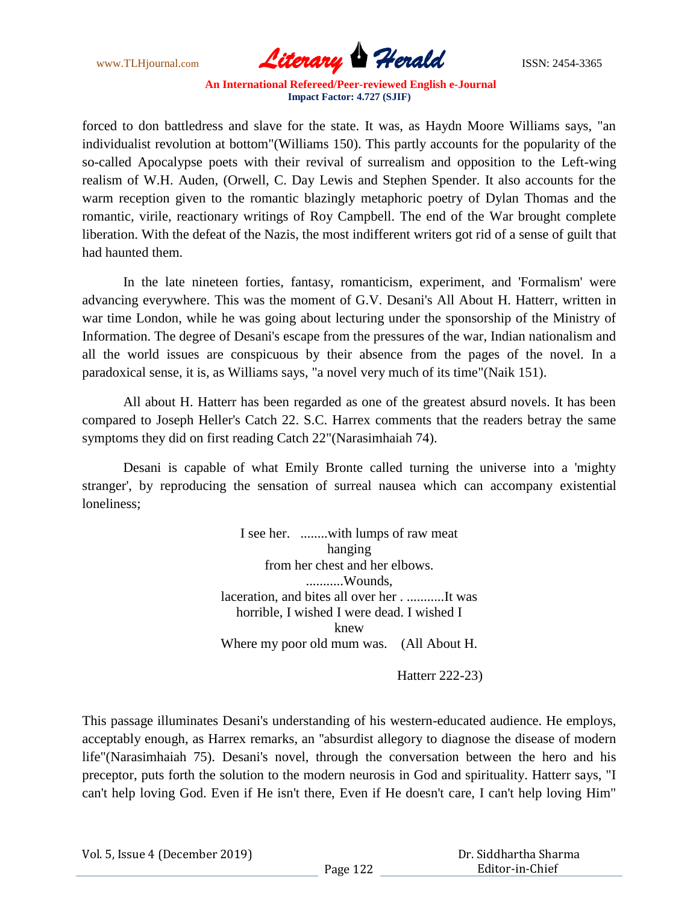

forced to don battledress and slave for the state. It was, as Haydn Moore Williams says, "an individualist revolution at bottom"(Williams 150). This partly accounts for the popularity of the so-called Apocalypse poets with their revival of surrealism and opposition to the Left-wing realism of W.H. Auden, (Orwell, C. Day Lewis and Stephen Spender. It also accounts for the warm reception given to the romantic blazingly metaphoric poetry of Dylan Thomas and the romantic, virile, reactionary writings of Roy Campbell. The end of the War brought complete liberation. With the defeat of the Nazis, the most indifferent writers got rid of a sense of guilt that had haunted them.

In the late nineteen forties, fantasy, romanticism, experiment, and 'Formalism' were advancing everywhere. This was the moment of G.V. Desani's All About H. Hatterr, written in war time London, while he was going about lecturing under the sponsorship of the Ministry of Information. The degree of Desani's escape from the pressures of the war, Indian nationalism and all the world issues are conspicuous by their absence from the pages of the novel. In a paradoxical sense, it is, as Williams says, "a novel very much of its time"(Naik 151).

All about H. Hatterr has been regarded as one of the greatest absurd novels. It has been compared to Joseph Heller's Catch 22. S.C. Harrex comments that the readers betray the same symptoms they did on first reading Catch 22"(Narasimhaiah 74).

Desani is capable of what Emily Bronte called turning the universe into a 'mighty stranger', by reproducing the sensation of surreal nausea which can accompany existential loneliness;

> I see her. ........with lumps of raw meat hanging from her chest and her elbows. ...........Wounds, laceration, and bites all over her . ...........It was horrible, I wished I were dead. I wished I knew Where my poor old mum was. (All About H.

> > Hatterr 222-23)

This passage illuminates Desani's understanding of his western-educated audience. He employs, acceptably enough, as Harrex remarks, an ''absurdist allegory to diagnose the disease of modern life"(Narasimhaiah 75). Desani's novel, through the conversation between the hero and his preceptor, puts forth the solution to the modern neurosis in God and spirituality. Hatterr says, "I can't help loving God. Even if He isn't there, Even if He doesn't care, I can't help loving Him"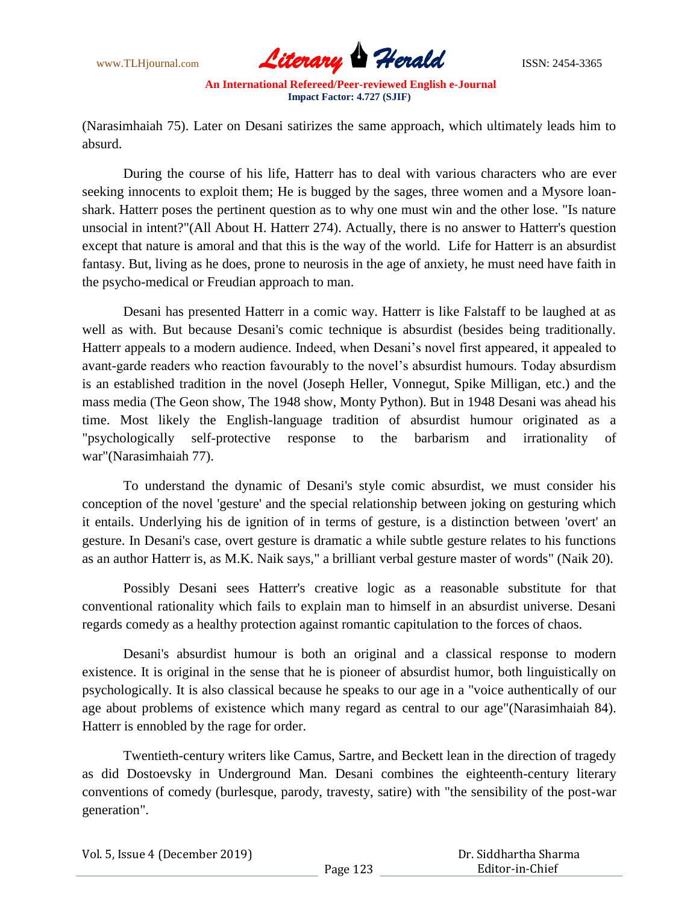

(Narasimhaiah 75). Later on Desani satirizes the same approach, which ultimately leads him to absurd.

During the course of his life, Hatterr has to deal with various characters who are ever seeking innocents to exploit them; He is bugged by the sages, three women and a Mysore loanshark. Hatterr poses the pertinent question as to why one must win and the other lose. "Is nature unsocial in intent?"(All About H. Hatterr 274). Actually, there is no answer to Hatterr's question except that nature is amoral and that this is the way of the world. Life for Hatterr is an absurdist fantasy. But, living as he does, prone to neurosis in the age of anxiety, he must need have faith in the psycho-medical or Freudian approach to man.

Desani has presented Hatterr in a comic way. Hatterr is like Falstaff to be laughed at as well as with. But because Desani's comic technique is absurdist (besides being traditionally. Hatterr appeals to a modern audience. Indeed, when Desani's novel first appeared, it appealed to avant-garde readers who reaction favourably to the novel's absurdist humours. Today absurdism is an established tradition in the novel (Joseph Heller, Vonnegut, Spike Milligan, etc.) and the mass media (The Geon show, The 1948 show, Monty Python). But in 1948 Desani was ahead his time. Most likely the English-language tradition of absurdist humour originated as a "psychologically self-protective response to the barbarism and irrationality of war"(Narasimhaiah 77).

To understand the dynamic of Desani's style comic absurdist, we must consider his conception of the novel 'gesture' and the special relationship between joking on gesturing which it entails. Underlying his de ignition of in terms of gesture, is a distinction between 'overt' an gesture. In Desani's case, overt gesture is dramatic a while subtle gesture relates to his functions as an author Hatterr is, as M.K. Naik says," a brilliant verbal gesture master of words" (Naik 20).

Possibly Desani sees Hatterr's creative logic as a reasonable substitute for that conventional rationality which fails to explain man to himself in an absurdist universe. Desani regards comedy as a healthy protection against romantic capitulation to the forces of chaos.

Desani's absurdist humour is both an original and a classical response to modern existence. It is original in the sense that he is pioneer of absurdist humor, both linguistically on psychologically. It is also classical because he speaks to our age in a "voice authentically of our age about problems of existence which many regard as central to our age"(Narasimhaiah 84). Hatterr is ennobled by the rage for order.

Twentieth-century writers like Camus, Sartre, and Beckett lean in the direction of tragedy as did Dostoevsky in Underground Man. Desani combines the eighteenth-century literary conventions of comedy (burlesque, parody, travesty, satire) with "the sensibility of the post-war generation".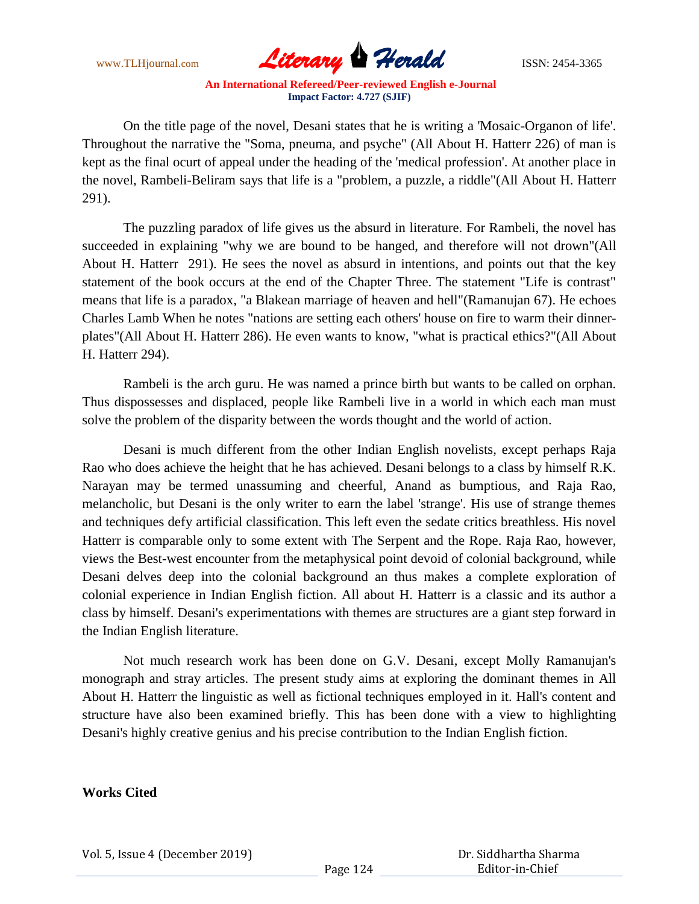

On the title page of the novel, Desani states that he is writing a 'Mosaic-Organon of life'. Throughout the narrative the "Soma, pneuma, and psyche" (All About H. Hatterr 226) of man is kept as the final ocurt of appeal under the heading of the 'medical profession'. At another place in the novel, Rambeli-Beliram says that life is a "problem, a puzzle, a riddle"(All About H. Hatterr 291).

The puzzling paradox of life gives us the absurd in literature. For Rambeli, the novel has succeeded in explaining "why we are bound to be hanged, and therefore will not drown"(All About H. Hatterr 291). He sees the novel as absurd in intentions, and points out that the key statement of the book occurs at the end of the Chapter Three. The statement "Life is contrast" means that life is a paradox, "a Blakean marriage of heaven and hell"(Ramanujan 67). He echoes Charles Lamb When he notes "nations are setting each others' house on fire to warm their dinnerplates"(All About H. Hatterr 286). He even wants to know, "what is practical ethics?"(All About H. Hatterr 294).

Rambeli is the arch guru. He was named a prince birth but wants to be called on orphan. Thus dispossesses and displaced, people like Rambeli live in a world in which each man must solve the problem of the disparity between the words thought and the world of action.

Desani is much different from the other Indian English novelists, except perhaps Raja Rao who does achieve the height that he has achieved. Desani belongs to a class by himself R.K. Narayan may be termed unassuming and cheerful, Anand as bumptious, and Raja Rao, melancholic, but Desani is the only writer to earn the label 'strange'. His use of strange themes and techniques defy artificial classification. This left even the sedate critics breathless. His novel Hatterr is comparable only to some extent with The Serpent and the Rope. Raja Rao, however, views the Best-west encounter from the metaphysical point devoid of colonial background, while Desani delves deep into the colonial background an thus makes a complete exploration of colonial experience in Indian English fiction. All about H. Hatterr is a classic and its author a class by himself. Desani's experimentations with themes are structures are a giant step forward in the Indian English literature.

Not much research work has been done on G.V. Desani, except Molly Ramanujan's monograph and stray articles. The present study aims at exploring the dominant themes in All About H. Hatterr the linguistic as well as fictional techniques employed in it. Hall's content and structure have also been examined briefly. This has been done with a view to highlighting Desani's highly creative genius and his precise contribution to the Indian English fiction.

**Works Cited**

Vol. 5, Issue 4 (December 2019)